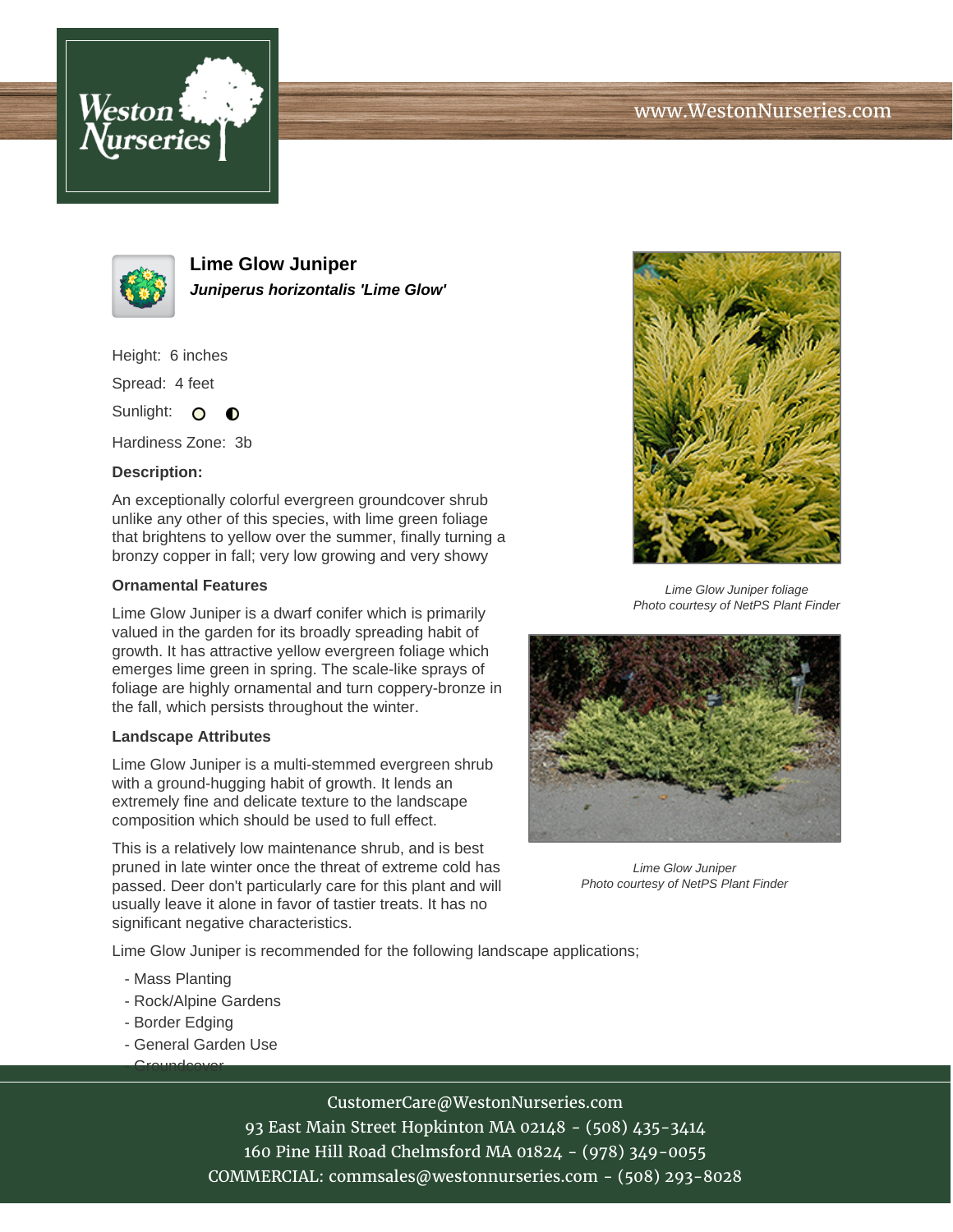



**Lime Glow Juniper Juniperus horizontalis 'Lime Glow'**

Height: 6 inches

Spread: 4 feet

Sunlight: O  $\bullet$ 

Hardiness Zone: 3b

## **Description:**

An exceptionally colorful evergreen groundcover shrub unlike any other of this species, with lime green foliage that brightens to yellow over the summer, finally turning a bronzy copper in fall; very low growing and very showy

## **Ornamental Features**

Lime Glow Juniper is a dwarf conifer which is primarily valued in the garden for its broadly spreading habit of growth. It has attractive yellow evergreen foliage which emerges lime green in spring. The scale-like sprays of foliage are highly ornamental and turn coppery-bronze in the fall, which persists throughout the winter.

## **Landscape Attributes**

Lime Glow Juniper is a multi-stemmed evergreen shrub with a ground-hugging habit of growth. It lends an extremely fine and delicate texture to the landscape composition which should be used to full effect.

This is a relatively low maintenance shrub, and is best pruned in late winter once the threat of extreme cold has passed. Deer don't particularly care for this plant and will usually leave it alone in favor of tastier treats. It has no significant negative characteristics.

Lime Glow Juniper is recommended for the following landscape applications;

- Mass Planting
- Rock/Alpine Gardens
- Border Edging

<u>- Groundcover</u>

- General Garden Use



Lime Glow Juniper foliage Photo courtesy of NetPS Plant Finder



Lime Glow Juniper Photo courtesy of NetPS Plant Finder

CustomerCare@WestonNurseries.com

93 East Main Street Hopkinton MA 02148 - (508) 435-3414 160 Pine Hill Road Chelmsford MA 01824 - (978) 349-0055 COMMERCIAL: commsales@westonnurseries.com - (508) 293-8028